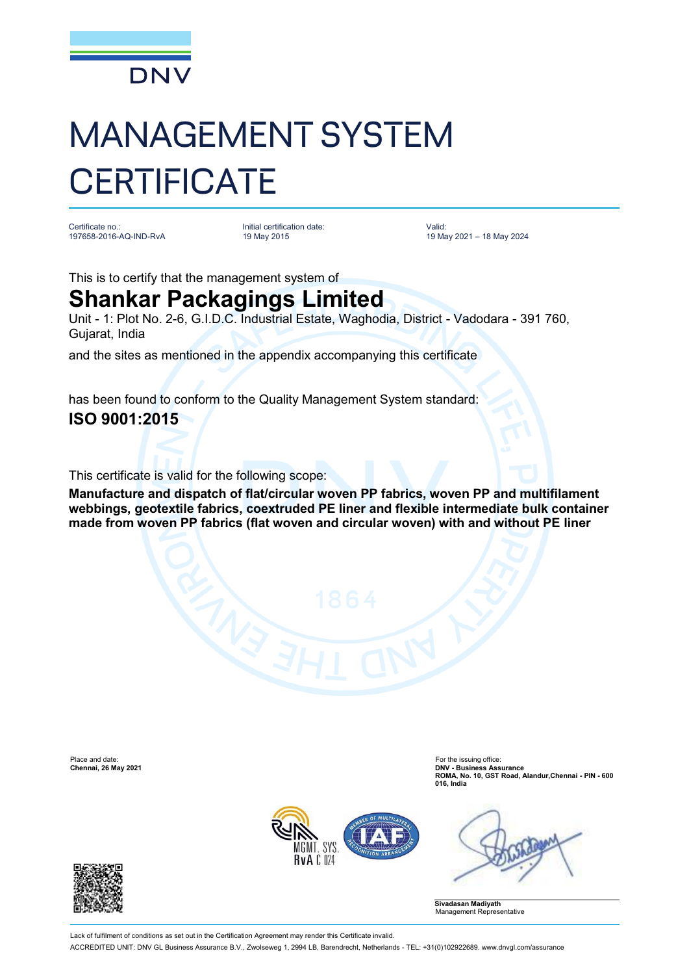

# MANAGEMENT SYSTEM **CERTIFICATE**

Certificate no.: 197658-2016-AQ-IND-RvA Initial certification date: 19 May 2015

Valid: 19 May 2021 – 18 May 2024

This is to certify that the management system of

## **Shankar Packagings Limited**

Unit - 1: Plot No. 2-6, G.I.D.C. Industrial Estate, Waghodia, District - Vadodara - 391 760, Gujarat, India

and the sites as mentioned in the appendix accompanying this certificate

has been found to conform to the Quality Management System standard:

### **ISO 9001:2015**

This certificate is valid for the following scope:

**Manufacture and dispatch of flat/circular woven PP fabrics, woven PP and multifilament webbings, geotextile fabrics, coextruded PE liner and flexible intermediate bulk container made from woven PP fabrics (flat woven and circular woven) with and without PE liner**

Place and date: For the issuing office: For the issuing office: For the issuing office: For the issuing office: Chennai, 26 May 2021

**Chennai, 26 May 2021 DNV - Business Assurance ROMA, No. 10, GST Road, Alandur,Chennai - PIN - 600 016, India**







Lack of fulfilment of conditions as set out in the Certification Agreement may render this Certificate invalid

ACCREDITED UNIT: DNV GL Business Assurance B.V., Zwolseweg 1, 2994 LB, Barendrecht, Netherlands - TEL: +31(0)102922689. [www.dnvgl.com/assurance](http://www.dnvgl.com/assurance)